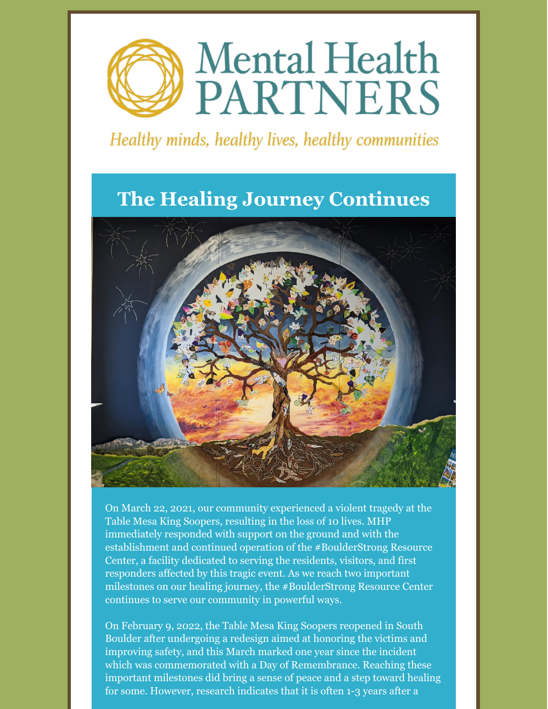

#### Healthy minds, healthy lives, healthy communities

#### **The Healing Journey Continues**



On March 22, 2021, our community experienced a violent tragedy at the Table Mesa King Soopers, resulting in the loss of 10 lives. MHP immediately responded with support on the ground and with the establishment and continued operation of the #BoulderStrong Resource Center, a facility dedicated to serving the residents, visitors, and first responders affected by this tragic event. As we reach two important milestones on our healing journey, the #BoulderStrong Resource Center continues to serve our community in powerful ways.

On February 9, 2022, the Table Mesa King Soopers reopened in South Boulder after undergoing a redesign aimed at honoring the victims and improving safety, and this March marked one year since the incident which was commemorated with a Day of Remembrance. Reaching these important milestones did bring a sense of peace and a step toward healing for some. However, research indicates that it is often 1-3 years after a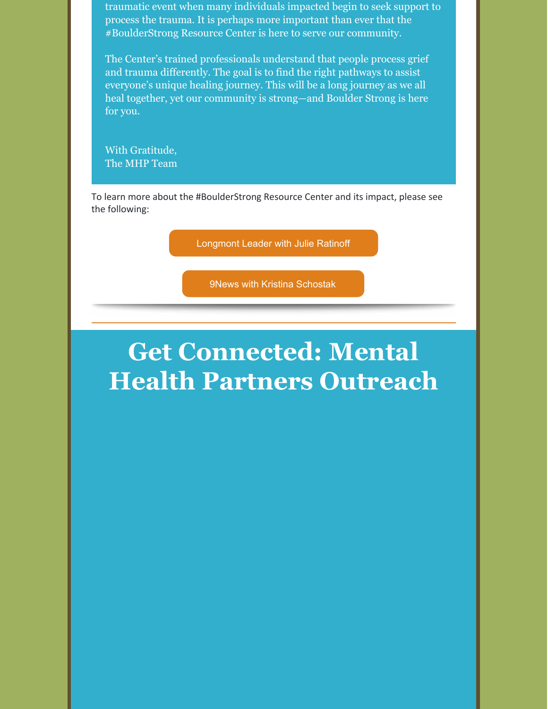traumatic event when many individuals impacted begin to seek support to process the trauma. It is perhaps more important than ever that the #BoulderStrong Resource Center is here to serve our community.

The Center's trained professionals understand that people process grief and trauma differently. The goal is to find the right pathways to assist everyone's unique healing journey. This will be a long journey as we all heal together, yet our community is strong—and Boulder Strong is here for you.

With Gratitude, The MHP Team

To learn more about the #BoulderStrong Resource Center and its impact, please see the following:

[Longmont](https://bit.ly/3LPcAgK) Leader with Julie Ratinoff

9News with Kristina [Schostak](https://bit.ly/36X9wAH)

## **Get Connected: Mental Health Partners Outreach**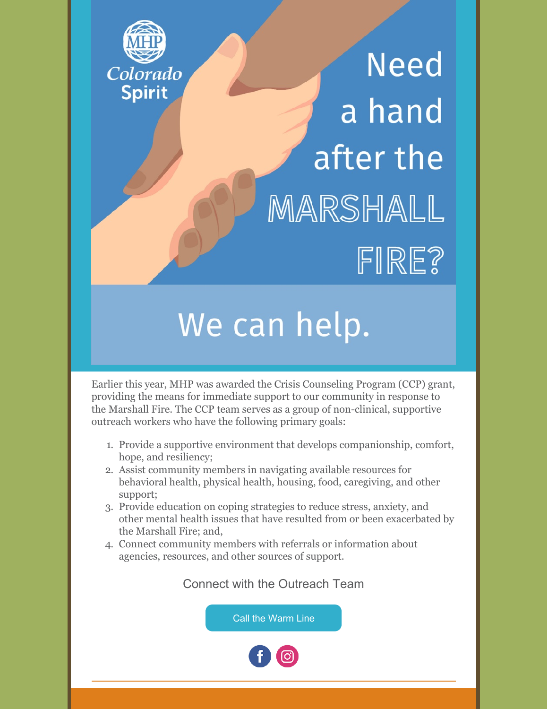

# **Need** a hand after the MARSHALL FIRE?

# We can help.

Earlier this year, MHP was awarded the Crisis Counseling Program (CCP) grant, providing the means for immediate support to our community in response to the Marshall Fire. The CCP team serves as a group of non-clinical, supportive outreach workers who have the following primary goals:

- 1. Provide a supportive environment that develops companionship, comfort, hope, and resiliency;
- 2. Assist community members in navigating available resources for behavioral health, physical health, housing, food, caregiving, and other support;
- 3. Provide education on coping strategies to reduce stress, anxiety, and other mental health issues that have resulted from or been exacerbated by the Marshall Fire; and,
- 4. Connect community members with referrals or information about agencies, resources, and other sources of support.

Connect with the Outreach Team

Call the [Warm](tel:3035450852) Line

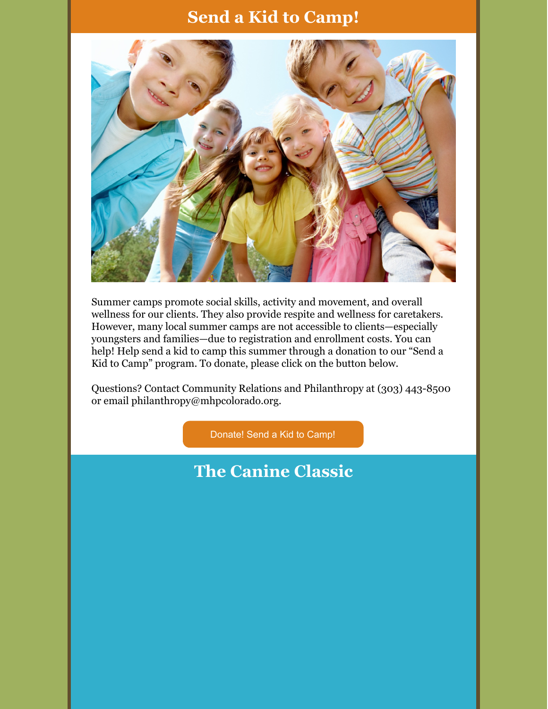#### **Send a Kid to Camp!**



Summer camps promote social skills, activity and movement, and overall wellness for our clients. They also provide respite and wellness for caretakers. However, many local summer camps are not accessible to clients—especially youngsters and families—due to registration and enrollment costs. You can help! Help send a kid to camp this summer through a donation to our "Send a Kid to Camp" program. To donate, please click on the button below.

Questions? Contact Community Relations and Philanthropy at (303) 443-8500 or email philanthropy@mhpcolorado.org.

[Donate!](https://www.mhpcolorado.org/donate-today/) Send a Kid to Camp!

#### **The Canine Classic**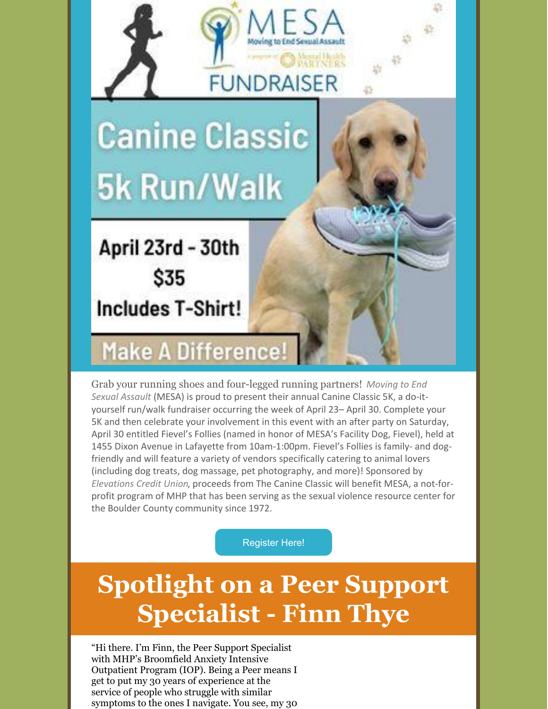

Grab your running shoes and [four-legged](https://movingtoendsexualassault.org/) running partners! *Moving to End Sexual Assault* (MESA) is proud to present their annual Canine Classic 5K, a do-ityourself run/walk fundraiser occurring the week of April 23– April 30. Complete your 5K and then celebrate your involvement in this event with an after party on Saturday, April 30 entitled Fievel's Follies (named in honor of MESA's Facility Dog, Fievel), held at 1455 Dixon Avenue in Lafayette from 10am-1:00pm. Fievel's Follies is family- and dogfriendly and will feature a variety of vendors specifically catering to animal lovers (including dog treats, dog massage, pet photography, and more)! Sponsored by *[Elevations](https://www.elevationscu.com/) Credit Union*, proceeds from The Canine Classic will benefit MESA, a not-forprofit program of MHP that has been serving as the sexual violence resource center for the Boulder County community since 1972.

[Register](https://thecanineclassic.com/) Here!

# **Spotlight on a Peer Support Specialist - Finn Thye**

"Hi there. I'm Finn, the Peer Support Specialist with MHP's Broomfield Anxiety Intensive Outpatient Program (IOP). Being a Peer means I get to put my 30 years of experience at the service of people who struggle with similar symptoms to the ones I navigate. You see, my 30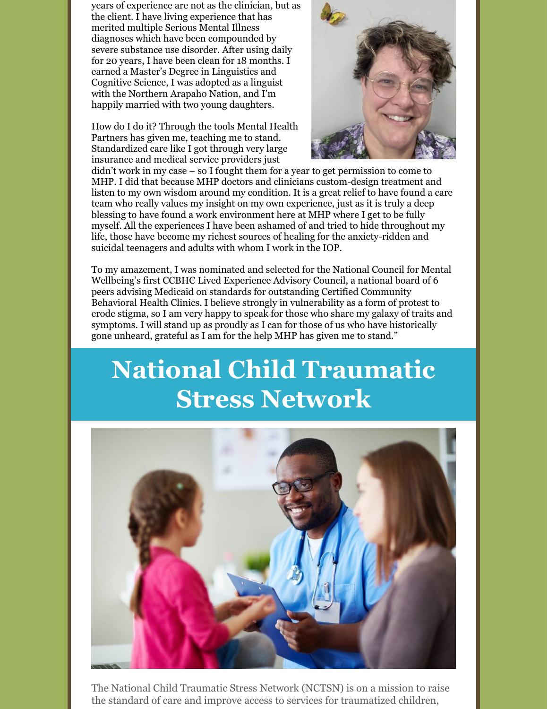years of experience are not as the clinician, but as the client. I have living experience that has merited multiple Serious Mental Illness diagnoses which have been compounded by severe substance use disorder. After using daily for 20 years, I have been clean for 18 months. I earned a Master's Degree in Linguistics and Cognitive Science, I was adopted as a linguist with the Northern Arapaho Nation, and I'm happily married with two young daughters.

How do I do it? Through the tools Mental Health Partners has given me, teaching me to stand. Standardized care like I got through very large insurance and medical service providers just



didn't work in my case – so I fought them for a year to get permission to come to MHP. I did that because MHP doctors and clinicians custom-design treatment and listen to my own wisdom around my condition. It is a great relief to have found a care team who really values my insight on my own experience, just as it is truly a deep blessing to have found a work environment here at MHP where I get to be fully myself. All the experiences I have been ashamed of and tried to hide throughout my life, those have become my richest sources of healing for the anxiety-ridden and suicidal teenagers and adults with whom I work in the IOP.

To my amazement, I was nominated and selected for the National Council for Mental Wellbeing's first CCBHC Lived Experience Advisory Council, a national board of 6 peers advising Medicaid on standards for outstanding Certified Community Behavioral Health Clinics. I believe strongly in vulnerability as a form of protest to erode stigma, so I am very happy to speak for those who share my galaxy of traits and symptoms. I will stand up as proudly as I can for those of us who have historically gone unheard, grateful as I am for the help MHP has given me to stand."

### **National Child Traumatic Stress Network**



The National Child Traumatic Stress Network (NCTSN) is on a mission to raise the standard of care and improve access to services for traumatized children,